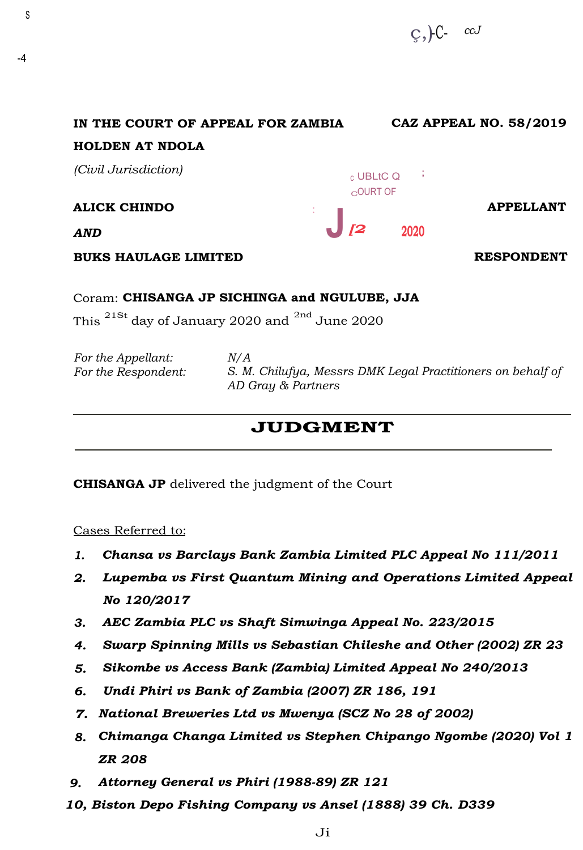ç,)-C- *ccJ* 

| IN THE COURT OF APPEAL FOR ZAMBIA |    |                          |      |                  | <b>CAZ APPEAL NO. 58/2019</b> |                  |
|-----------------------------------|----|--------------------------|------|------------------|-------------------------------|------------------|
| <b>HOLDEN AT NDOLA</b>            |    |                          |      |                  |                               |                  |
| (Civil Jurisdiction)              |    | c UBLtC Q<br>$C$ OURT OF |      | $\sim$ 100 $\pm$ |                               |                  |
| <b>ALICK CHINDO</b><br>$\sim$     |    |                          |      |                  |                               | <b>APPELLANT</b> |
| <b>AND</b>                        | [2 |                          | 2020 |                  |                               |                  |
| <b>BUKS HAULAGE LIMITED</b>       |    |                          |      |                  | <b>RESPONDENT</b>             |                  |

## Coram: **CHISANGA JP SICHINGA and NGULUBE, JJA**

This 21St day of January 2020 and 2nd June 2020

| For the Appellant:  | N/A                                                         |
|---------------------|-------------------------------------------------------------|
| For the Respondent: | S. M. Chilufya, Messrs DMK Legal Practitioners on behalf of |
|                     | AD Gray & Partners                                          |

## **JUDGMENT**

**CHISANGA JP** delivered the judgment of the Court

Cases Referred to:

S

-4

- *1. Chansa vs Barclays Bank Zambia Limited PLC Appeal No 111/2011*
- *2. Lupemba vs First Quantum Mining and Operations Limited Appeal No 120/2017*
- *3. AEC Zambia PLC vs Shaft Simwinga Appeal No. 223/2015*
- *4. Swarp Spinning Mills vs Sebastian Chileshe and Other (2002) ZR 23*
- *5. Sikombe vs Access Bank (Zambia) Limited Appeal No 240/2013*
- *6. Undi Phiri vs Bank of Zambia (2007) ZR 186, 191*
- *7. National Breweries Ltd vs Mwenya (SCZ No 28 of 2002)*
- *8. Chimanga Changa Limited vs Stephen Chipango Ngombe (2020) Vol 1 ZR 208*
- *9. Attorney General vs Phiri (1988-89) ZR 121*
- *10, Biston Depo Fishing Company vs Ansel (1888) 39 Ch. D339*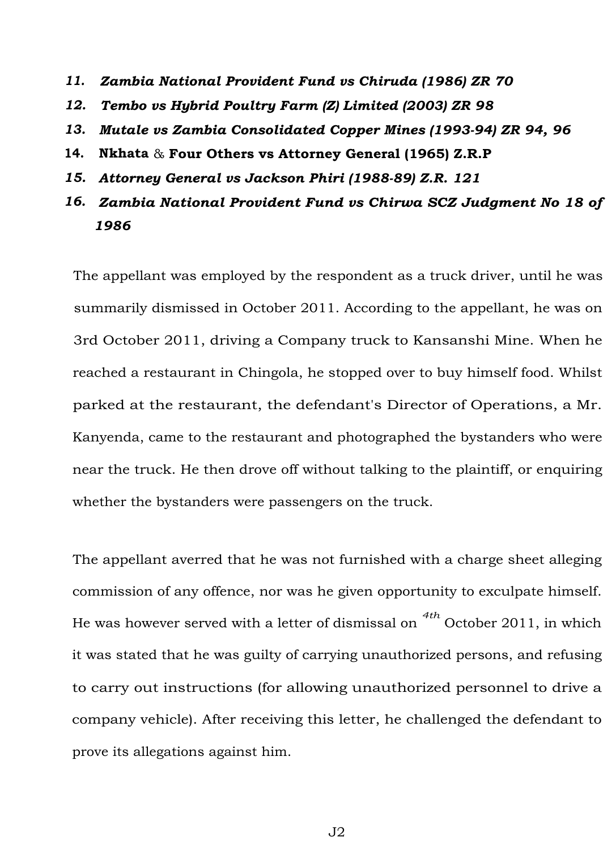- *11. Zambia National Provident Fund vs Chiruda (1986) ZR 70*
- *12. Tembo vs Hybrid Poultry Farm (Z) Limited (2003) ZR 98*
- *13. Mutale vs Zambia Consolidated Copper Mines (1993-94) ZR 94, 96*
- **14. Nkhata** & **Four Others vs Attorney General (1965) Z.R.P**
- *15. Attorney General vs Jackson Phiri (1988-89) Z.R. 121*
- *16. Zambia National Provident Fund vs Chirwa SCZ Judgment No 18 of 1986*

The appellant was employed by the respondent as a truck driver, until he was summarily dismissed in October 2011. According to the appellant, he was on 3rd October 2011, driving a Company truck to Kansanshi Mine. When he reached a restaurant in Chingola, he stopped over to buy himself food. Whilst parked at the restaurant, the defendant's Director of Operations, a Mr. Kanyenda, came to the restaurant and photographed the bystanders who were near the truck. He then drove off without talking to the plaintiff, or enquiring whether the bystanders were passengers on the truck.

The appellant averred that he was not furnished with a charge sheet alleging commission of any offence, nor was he given opportunity to exculpate himself. He was however served with a letter of dismissal on *4th* October 2011, in which it was stated that he was guilty of carrying unauthorized persons, and refusing to carry out instructions (for allowing unauthorized personnel to drive a company vehicle). After receiving this letter, he challenged the defendant to prove its allegations against him.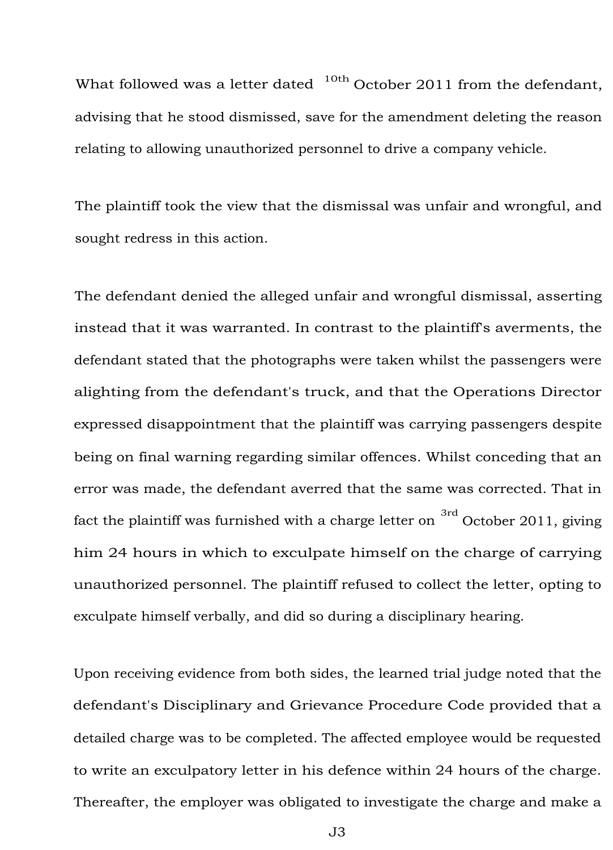What followed was a letter dated  $10th$  October 2011 from the defendant, advising that he stood dismissed, save for the amendment deleting the reason relating to allowing unauthorized personnel to drive a company vehicle.

The plaintiff took the view that the dismissal was unfair and wrongful, and sought redress in this action.

The defendant denied the alleged unfair and wrongful dismissal, asserting instead that it was warranted. In contrast to the plaintiff's averments, the defendant stated that the photographs were taken whilst the passengers were alighting from the defendant's truck, and that the Operations Director expressed disappointment that the plaintiff was carrying passengers despite being on final warning regarding similar offences. Whilst conceding that an error was made, the defendant averred that the same was corrected. That in fact the plaintiff was furnished with a charge letter on  $3rd$  October 2011, giving him 24 hours in which to exculpate himself on the charge of carrying unauthorized personnel. The plaintiff refused to collect the letter, opting to exculpate himself verbally, and did so during a disciplinary hearing.

Upon receiving evidence from both sides, the learned trial judge noted that the defendant's Disciplinary and Grievance Procedure Code provided that a detailed charge was to be completed. The affected employee would be requested to write an exculpatory letter in his defence within 24 hours of the charge. Thereafter, the employer was obligated to investigate the charge and make a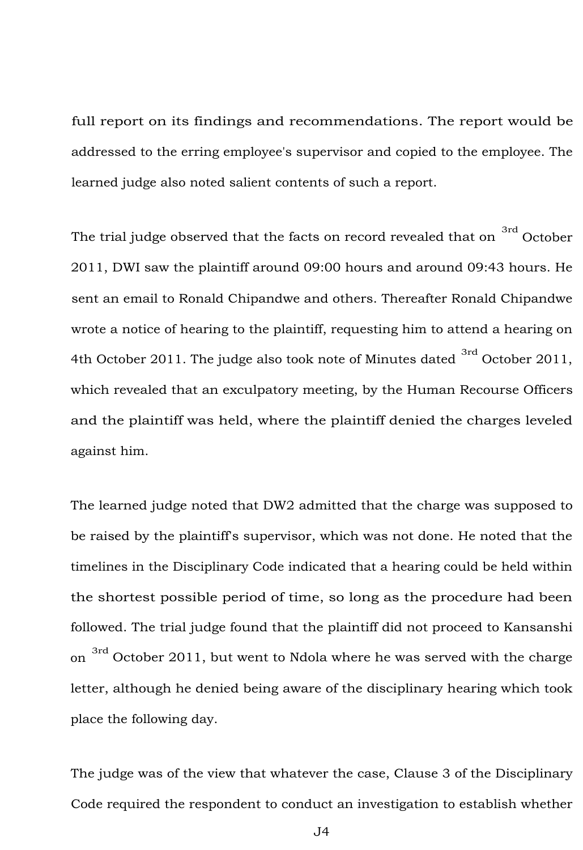full report on its findings and recommendations. The report would be addressed to the erring employee's supervisor and copied to the employee. The learned judge also noted salient contents of such a report.

The trial judge observed that the facts on record revealed that on  $\frac{3\text{rd}}{2}$  October 2011, DWI saw the plaintiff around 09:00 hours and around 09:43 hours. He sent an email to Ronald Chipandwe and others. Thereafter Ronald Chipandwe wrote a notice of hearing to the plaintiff, requesting him to attend a hearing on 4th October 2011. The judge also took note of Minutes dated  $^{3rd}$  October 2011, which revealed that an exculpatory meeting, by the Human Recourse Officers and the plaintiff was held, where the plaintiff denied the charges leveled against him.

The learned judge noted that DW2 admitted that the charge was supposed to be raised by the plaintiff's supervisor, which was not done. He noted that the timelines in the Disciplinary Code indicated that a hearing could be held within the shortest possible period of time, so long as the procedure had been followed. The trial judge found that the plaintiff did not proceed to Kansanshi on  $\frac{3 \text{rd}}{3 \text{rd}}$  October 2011, but went to Ndola where he was served with the charge letter, although he denied being aware of the disciplinary hearing which took place the following day.

The judge was of the view that whatever the case, Clause 3 of the Disciplinary Code required the respondent to conduct an investigation to establish whether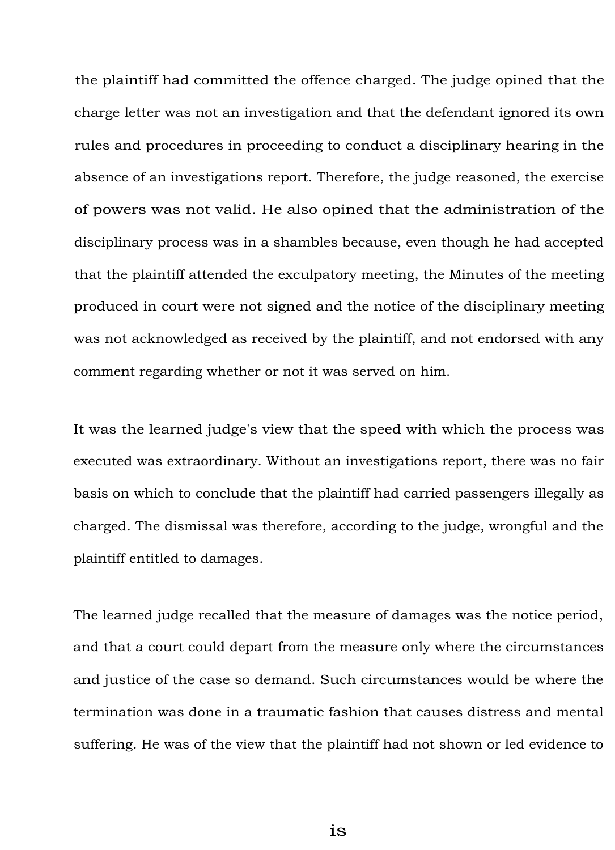the plaintiff had committed the offence charged. The judge opined that the charge letter was not an investigation and that the defendant ignored its own rules and procedures in proceeding to conduct a disciplinary hearing in the absence of an investigations report. Therefore, the judge reasoned, the exercise of powers was not valid. He also opined that the administration of the disciplinary process was in a shambles because, even though he had accepted that the plaintiff attended the exculpatory meeting, the Minutes of the meeting produced in court were not signed and the notice of the disciplinary meeting was not acknowledged as received by the plaintiff, and not endorsed with any comment regarding whether or not it was served on him.

It was the learned judge's view that the speed with which the process was executed was extraordinary. Without an investigations report, there was no fair basis on which to conclude that the plaintiff had carried passengers illegally as charged. The dismissal was therefore, according to the judge, wrongful and the plaintiff entitled to damages.

The learned judge recalled that the measure of damages was the notice period, and that a court could depart from the measure only where the circumstances and justice of the case so demand. Such circumstances would be where the termination was done in a traumatic fashion that causes distress and mental suffering. He was of the view that the plaintiff had not shown or led evidence to

is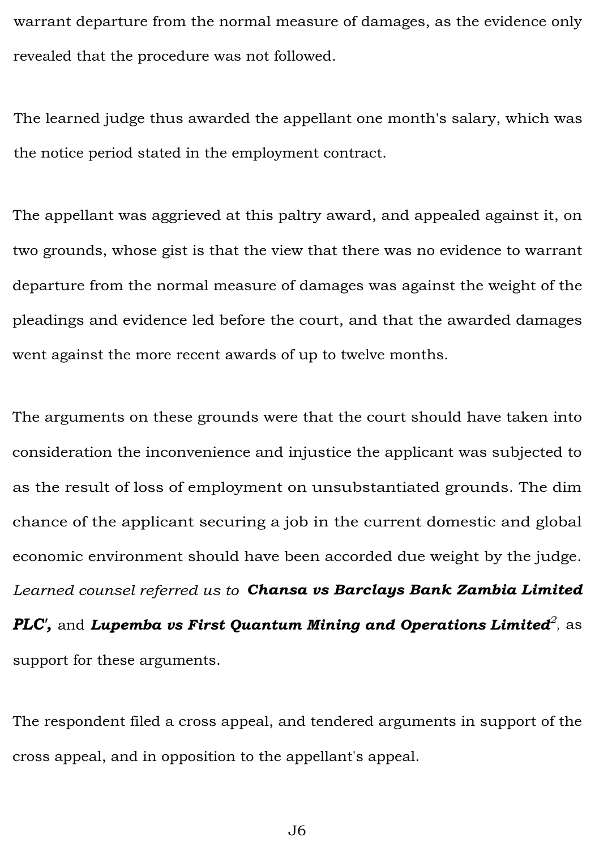warrant departure from the normal measure of damages, as the evidence only revealed that the procedure was not followed.

The learned judge thus awarded the appellant one month's salary, which was the notice period stated in the employment contract.

The appellant was aggrieved at this paltry award, and appealed against it, on two grounds, whose gist is that the view that there was no evidence to warrant departure from the normal measure of damages was against the weight of the pleadings and evidence led before the court, and that the awarded damages went against the more recent awards of up to twelve months.

The arguments on these grounds were that the court should have taken into consideration the inconvenience and injustice the applicant was subjected to as the result of loss of employment on unsubstantiated grounds. The dim chance of the applicant securing a job in the current domestic and global economic environment should have been accorded due weight by the judge. *Learned counsel referred us to Chansa vs Barclays Bank Zambia Limited PLC',* and *Lupemba vs First Quantum Mining and Operations Limited<sup>2</sup> ,* as support for these arguments.

The respondent filed a cross appeal, and tendered arguments in support of the cross appeal, and in opposition to the appellant's appeal.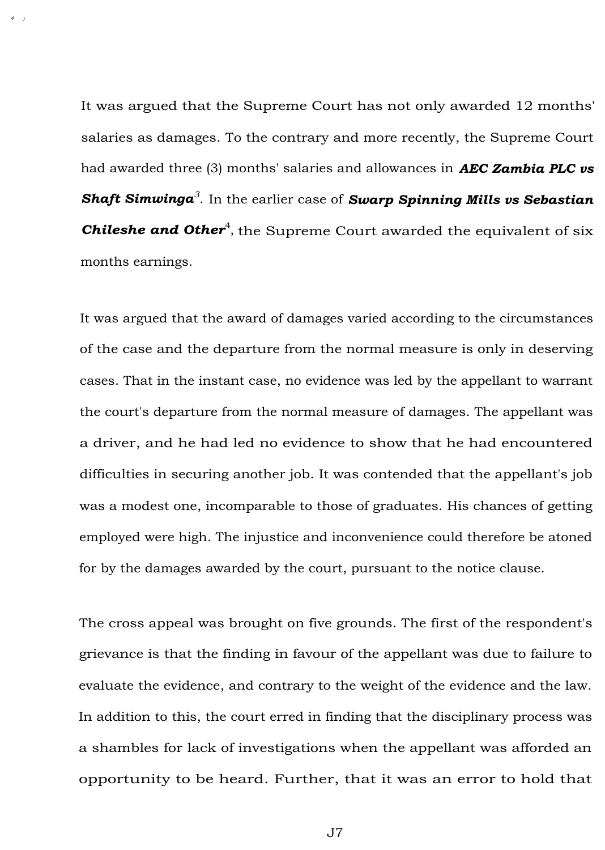It was argued that the Supreme Court has not only awarded 12 months' salaries as damages. To the contrary and more recently, the Supreme Court had awarded three (3) months' salaries and allowances in *AEC Zambia PLC vs Shaft Simwinga<sup>3</sup> .* In the earlier case of *Swarp Spinning Mills vs Sebastian*  **Chileshe and Other<sup>4</sup>**, the Supreme Court awarded the equivalent of six months earnings.

*<sup>4</sup>*/

It was argued that the award of damages varied according to the circumstances of the case and the departure from the normal measure is only in deserving cases. That in the instant case, no evidence was led by the appellant to warrant the court's departure from the normal measure of damages. The appellant was a driver, and he had led no evidence to show that he had encountered difficulties in securing another job. It was contended that the appellant's job was a modest one, incomparable to those of graduates. His chances of getting employed were high. The injustice and inconvenience could therefore be atoned for by the damages awarded by the court, pursuant to the notice clause.

The cross appeal was brought on five grounds. The first of the respondent's grievance is that the finding in favour of the appellant was due to failure to evaluate the evidence, and contrary to the weight of the evidence and the law. In addition to this, the court erred in finding that the disciplinary process was a shambles for lack of investigations when the appellant was afforded an opportunity to be heard. Further, that it was an error to hold that

J7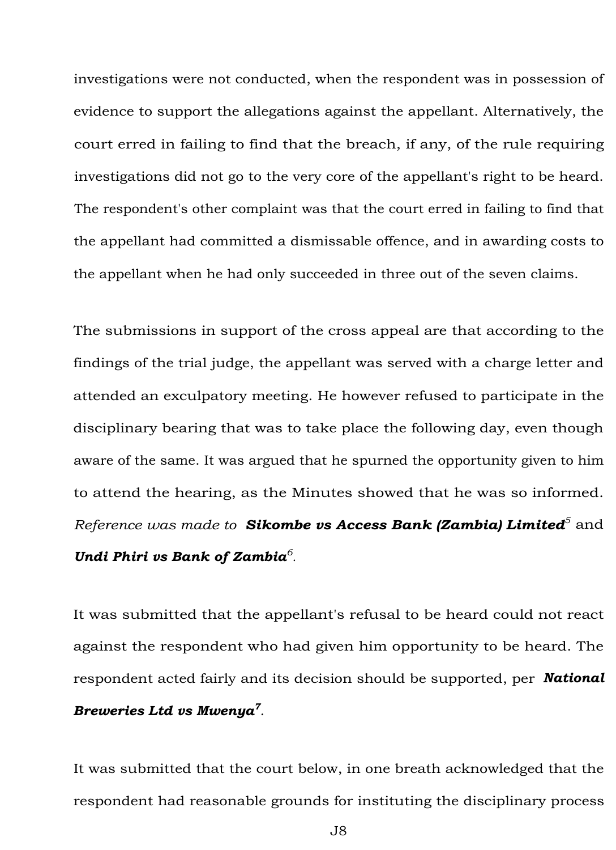investigations were not conducted, when the respondent was in possession of evidence to support the allegations against the appellant. Alternatively, the court erred in failing to find that the breach, if any, of the rule requiring investigations did not go to the very core of the appellant's right to be heard. The respondent's other complaint was that the court erred in failing to find that the appellant had committed a dismissable offence, and in awarding costs to the appellant when he had only succeeded in three out of the seven claims.

The submissions in support of the cross appeal are that according to the findings of the trial judge, the appellant was served with a charge letter and attended an exculpatory meeting. He however refused to participate in the disciplinary bearing that was to take place the following day, even though aware of the same. It was argued that he spurned the opportunity given to him to attend the hearing, as the Minutes showed that he was so informed. *Reference was made to Sikombe vs Access Bank (Zambia) Limited<sup>5</sup>*and *Undi Phiri vs Bank of Zambia<sup>6</sup> .* 

It was submitted that the appellant's refusal to be heard could not react against the respondent who had given him opportunity to be heard. The respondent acted fairly and its decision should be supported, per *National Breweries Ltd vs Mwenya<sup>7</sup> .* 

It was submitted that the court below, in one breath acknowledged that the respondent had reasonable grounds for instituting the disciplinary process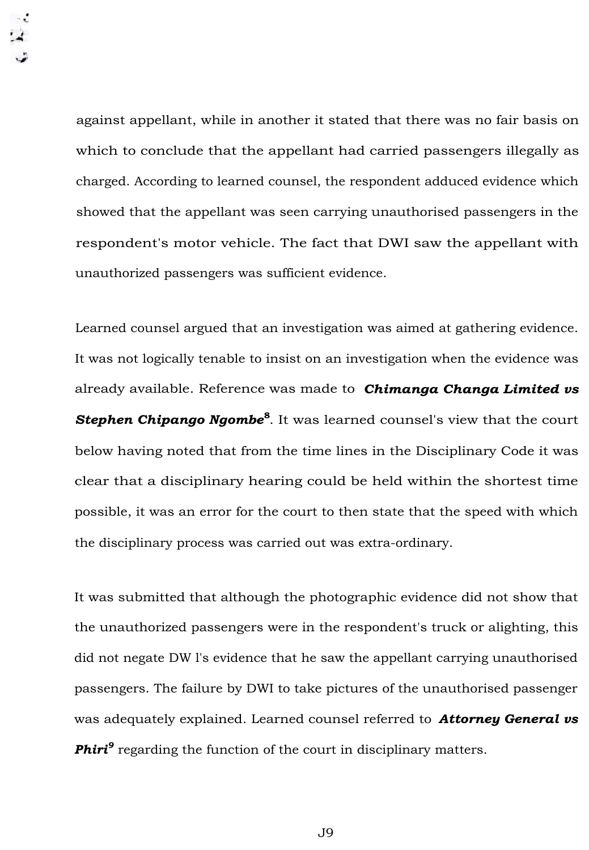against appellant, while in another it stated that there was no fair basis on which to conclude that the appellant had carried passengers illegally as charged. According to learned counsel, the respondent adduced evidence which showed that the appellant was seen carrying unauthorised passengers in the respondent's motor vehicle. The fact that DWI saw the appellant with unauthorized passengers was sufficient evidence.

Learned counsel argued that an investigation was aimed at gathering evidence. It was not logically tenable to insist on an investigation when the evidence was already available. Reference was made to *Chimanga Changa Limited vs Stephen Chipango Ngombe***<sup>8</sup>** . It was learned counsel's view that the court below having noted that from the time lines in the Disciplinary Code it was clear that a disciplinary hearing could be held within the shortest time possible, it was an error for the court to then state that the speed with which the disciplinary process was carried out was extra-ordinary.

It was submitted that although the photographic evidence did not show that the unauthorized passengers were in the respondent's truck or alighting, this did not negate DW l's evidence that he saw the appellant carrying unauthorised passengers. The failure by DWI to take pictures of the unauthorised passenger was adequately explained. Learned counsel referred to *Attorney General vs*  **Phiri<sup>9</sup>** regarding the function of the court in disciplinary matters.

J9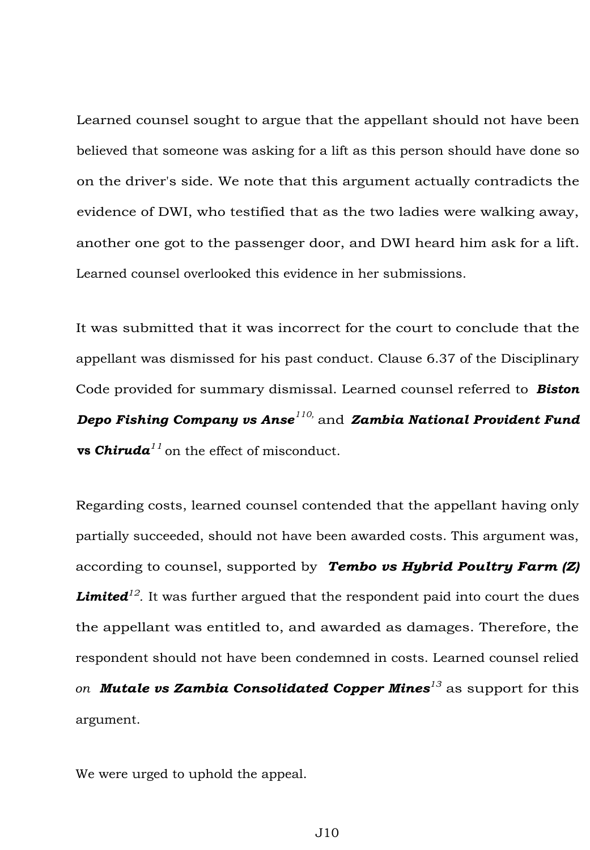Learned counsel sought to argue that the appellant should not have been believed that someone was asking for a lift as this person should have done so on the driver's side. We note that this argument actually contradicts the evidence of DWI, who testified that as the two ladies were walking away, another one got to the passenger door, and DWI heard him ask for a lift. Learned counsel overlooked this evidence in her submissions.

It was submitted that it was incorrect for the court to conclude that the appellant was dismissed for his past conduct. Clause 6.37 of the Disciplinary Code provided for summary dismissal. Learned counsel referred to *Biston Depo Fishing Company vs Anse 110,* and *Zambia National Provident Fund*  **vs** *Chiruda11* on the effect of misconduct.

Regarding costs, learned counsel contended that the appellant having only partially succeeded, should not have been awarded costs. This argument was, according to counsel, supported by *Tembo vs Hybrid Poultry Farm (Z) Limited<sup>12</sup> .* It was further argued that the respondent paid into court the dues the appellant was entitled to, and awarded as damages. Therefore, the respondent should not have been condemned in costs. Learned counsel relied *on Mutale vs Zambia Consolidated Copper Mines<sup>13</sup>*as support for this argument.

We were urged to uphold the appeal.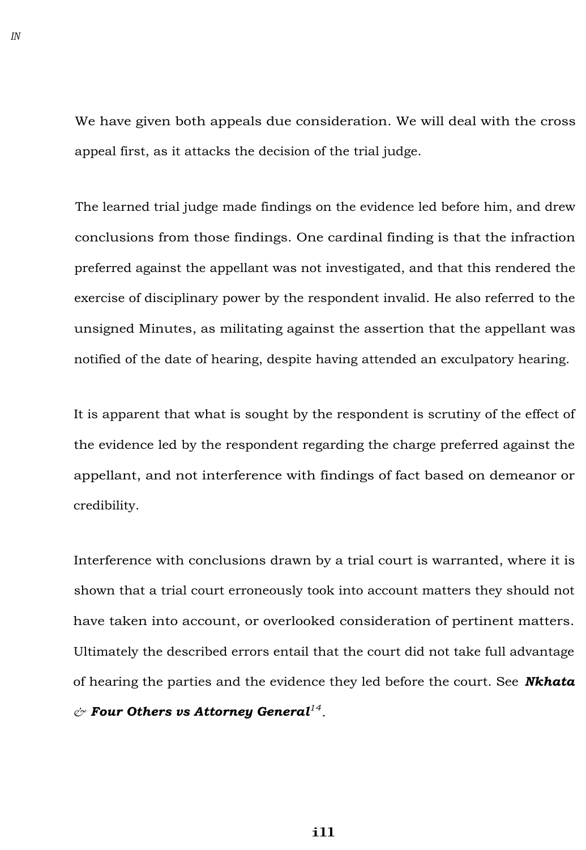We have given both appeals due consideration. We will deal with the cross appeal first, as it attacks the decision of the trial judge.

The learned trial judge made findings on the evidence led before him, and drew conclusions from those findings. One cardinal finding is that the infraction preferred against the appellant was not investigated, and that this rendered the exercise of disciplinary power by the respondent invalid. He also referred to the unsigned Minutes, as militating against the assertion that the appellant was notified of the date of hearing, despite having attended an exculpatory hearing.

It is apparent that what is sought by the respondent is scrutiny of the effect of the evidence led by the respondent regarding the charge preferred against the appellant, and not interference with findings of fact based on demeanor or credibility.

Interference with conclusions drawn by a trial court is warranted, where it is shown that a trial court erroneously took into account matters they should not have taken into account, or overlooked consideration of pertinent matters. Ultimately the described errors entail that the court did not take full advantage of hearing the parties and the evidence they led before the court. See *Nkhata & Four Others vs Attorney General<sup>14</sup> .*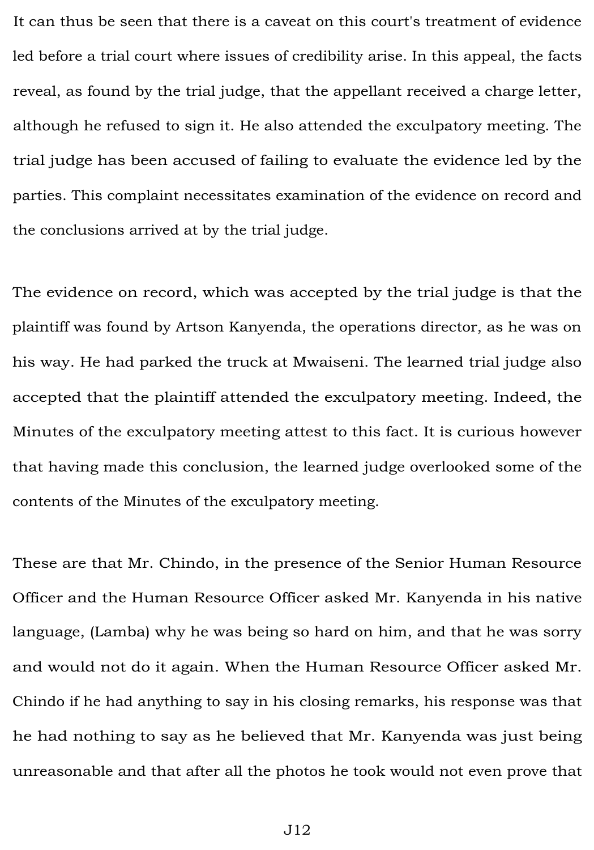It can thus be seen that there is a caveat on this court's treatment of evidence led before a trial court where issues of credibility arise. In this appeal, the facts reveal, as found by the trial judge, that the appellant received a charge letter, although he refused to sign it. He also attended the exculpatory meeting. The trial judge has been accused of failing to evaluate the evidence led by the parties. This complaint necessitates examination of the evidence on record and the conclusions arrived at by the trial judge.

The evidence on record, which was accepted by the trial judge is that the plaintiff was found by Artson Kanyenda, the operations director, as he was on his way. He had parked the truck at Mwaiseni. The learned trial judge also accepted that the plaintiff attended the exculpatory meeting. Indeed, the Minutes of the exculpatory meeting attest to this fact. It is curious however that having made this conclusion, the learned judge overlooked some of the contents of the Minutes of the exculpatory meeting.

These are that Mr. Chindo, in the presence of the Senior Human Resource Officer and the Human Resource Officer asked Mr. Kanyenda in his native language, (Lamba) why he was being so hard on him, and that he was sorry and would not do it again. When the Human Resource Officer asked Mr. Chindo if he had anything to say in his closing remarks, his response was that he had nothing to say as he believed that Mr. Kanyenda was just being unreasonable and that after all the photos he took would not even prove that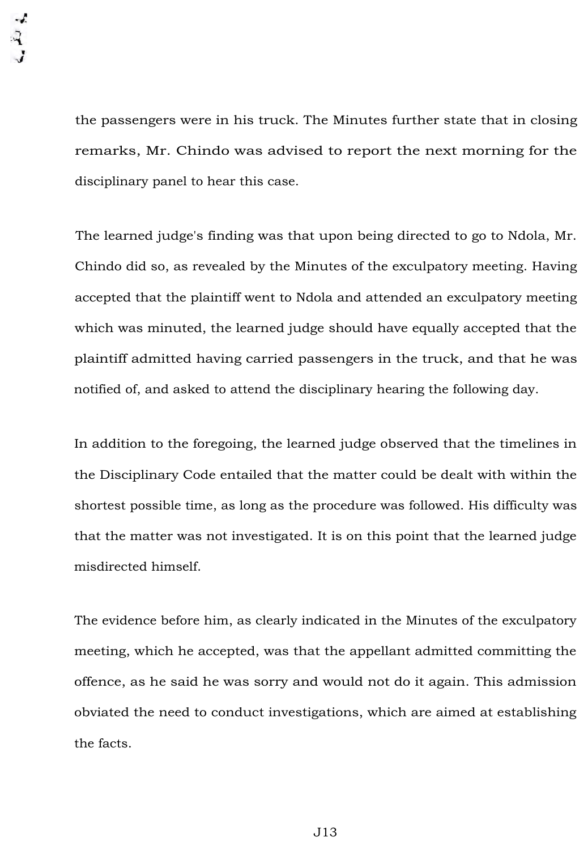the passengers were in his truck. The Minutes further state that in closing remarks, Mr. Chindo was advised to report the next morning for the disciplinary panel to hear this case.

The learned judge's finding was that upon being directed to go to Ndola, Mr. Chindo did so, as revealed by the Minutes of the exculpatory meeting. Having accepted that the plaintiff went to Ndola and attended an exculpatory meeting which was minuted, the learned judge should have equally accepted that the plaintiff admitted having carried passengers in the truck, and that he was notified of, and asked to attend the disciplinary hearing the following day.

In addition to the foregoing, the learned judge observed that the timelines in the Disciplinary Code entailed that the matter could be dealt with within the shortest possible time, as long as the procedure was followed. His difficulty was that the matter was not investigated. It is on this point that the learned judge misdirected himself.

The evidence before him, as clearly indicated in the Minutes of the exculpatory meeting, which he accepted, was that the appellant admitted committing the offence, as he said he was sorry and would not do it again. This admission obviated the need to conduct investigations, which are aimed at establishing the facts.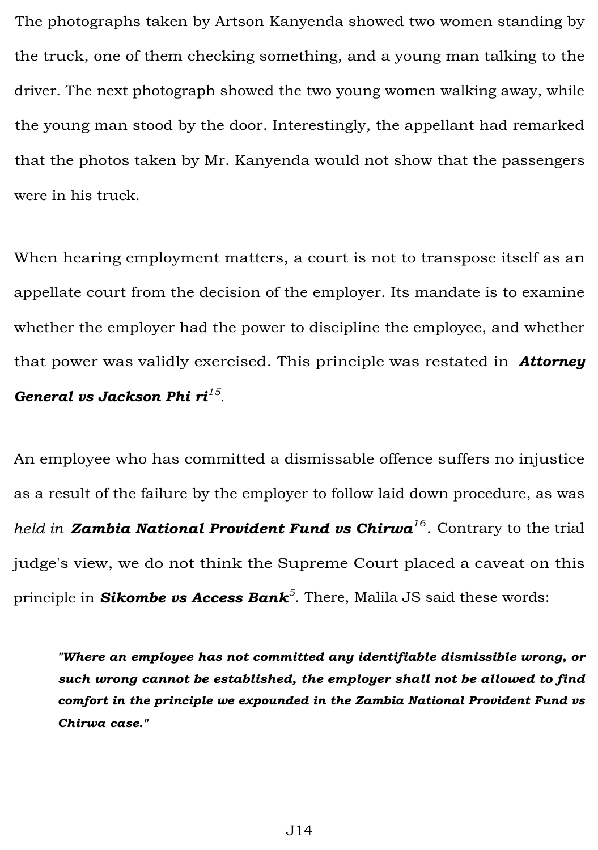The photographs taken by Artson Kanyenda showed two women standing by the truck, one of them checking something, and a young man talking to the driver. The next photograph showed the two young women walking away, while the young man stood by the door. Interestingly, the appellant had remarked that the photos taken by Mr. Kanyenda would not show that the passengers were in his truck.

When hearing employment matters, a court is not to transpose itself as an appellate court from the decision of the employer. Its mandate is to examine whether the employer had the power to discipline the employee, and whether that power was validly exercised. This principle was restated in *Attorney General vs Jackson Phi ri<sup>15</sup> .* 

An employee who has committed a dismissable offence suffers no injustice as a result of the failure by the employer to follow laid down procedure, as was *held in Zambia National Provident Fund vs Chirwa<sup>16</sup> .* Contrary to the trial judge's view, we do not think the Supreme Court placed a caveat on this principle in *Sikombe vs Access Bank<sup>5</sup> .* There, Malila JS said these words:

*"Where an employee has not committed any identifiable dismissible wrong, or such wrong cannot be established, the employer shall not be allowed to find comfort in the principle we expounded in the Zambia National Provident Fund vs Chirwa case."*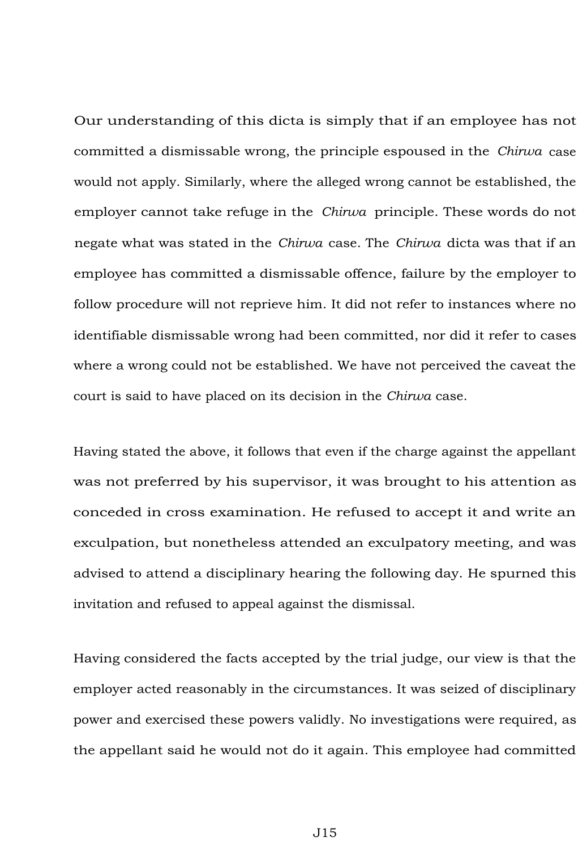Our understanding of this dicta is simply that if an employee has not committed a dismissable wrong, the principle espoused in the *Chirwa* case would not apply. Similarly, where the alleged wrong cannot be established, the employer cannot take refuge in the *Chirwa* principle. These words do not negate what was stated in the *Chirwa* case. The *Chirwa* dicta was that if an employee has committed a dismissable offence, failure by the employer to follow procedure will not reprieve him. It did not refer to instances where no identifiable dismissable wrong had been committed, nor did it refer to cases where a wrong could not be established. We have not perceived the caveat the court is said to have placed on its decision in the *Chirwa* case.

Having stated the above, it follows that even if the charge against the appellant was not preferred by his supervisor, it was brought to his attention as conceded in cross examination. He refused to accept it and write an exculpation, but nonetheless attended an exculpatory meeting, and was advised to attend a disciplinary hearing the following day. He spurned this invitation and refused to appeal against the dismissal.

Having considered the facts accepted by the trial judge, our view is that the employer acted reasonably in the circumstances. It was seized of disciplinary power and exercised these powers validly. No investigations were required, as the appellant said he would not do it again. This employee had committed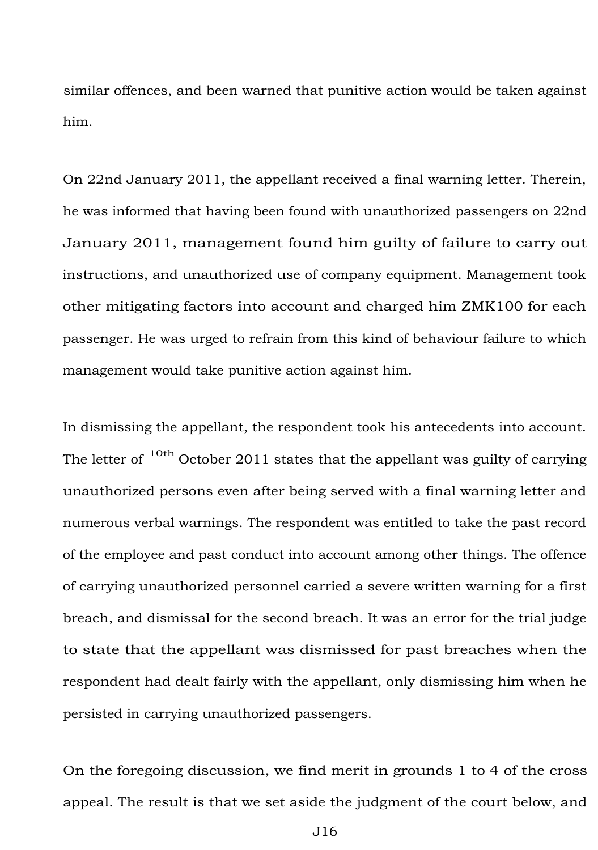similar offences, and been warned that punitive action would be taken against him.

On 22nd January 2011, the appellant received a final warning letter. Therein, he was informed that having been found with unauthorized passengers on 22nd January 2011, management found him guilty of failure to carry out instructions, and unauthorized use of company equipment. Management took other mitigating factors into account and charged him ZMK100 for each passenger. He was urged to refrain from this kind of behaviour failure to which management would take punitive action against him.

In dismissing the appellant, the respondent took his antecedents into account. The letter of  $10th$  October 2011 states that the appellant was guilty of carrying unauthorized persons even after being served with a final warning letter and numerous verbal warnings. The respondent was entitled to take the past record of the employee and past conduct into account among other things. The offence of carrying unauthorized personnel carried a severe written warning for a first breach, and dismissal for the second breach. It was an error for the trial judge to state that the appellant was dismissed for past breaches when the respondent had dealt fairly with the appellant, only dismissing him when he persisted in carrying unauthorized passengers.

On the foregoing discussion, we find merit in grounds 1 to 4 of the cross appeal. The result is that we set aside the judgment of the court below, and